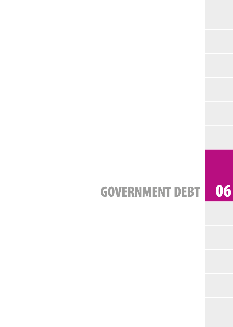# GOVERNMENT DEBT 06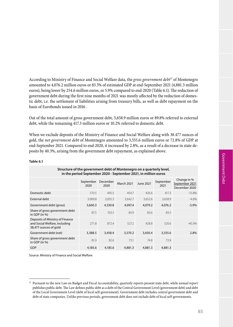Government Debt Government Debt

| Structure of the government debt of Montenegro on a quarterly level,<br>in the period September 2020 - September 2021, in million euros |                   |                  |                   |           |                   |                                                |  |
|-----------------------------------------------------------------------------------------------------------------------------------------|-------------------|------------------|-------------------|-----------|-------------------|------------------------------------------------|--|
|                                                                                                                                         | September<br>2020 | December<br>2020 | <b>March 2021</b> | June 2021 | September<br>2021 | Change in %<br>September 2021<br>December 2020 |  |
| Domestic debt                                                                                                                           | 570.5             | 495.5            | 454.7             | 426.6     | 417.3             | $-15.8%$                                       |  |
| External debt                                                                                                                           | 3.089.8           | 3,835.3          | 3,642.7           | 3,652.6   | 3,658.9           | $-4.6%$                                        |  |
| Government debt (gross)                                                                                                                 | 3,660.3           | 4,330.8          | 4,097.4           | 4,079.2   | 4,076.2           | $-5.9%$                                        |  |
| Share of gross government debt<br>in GDP (in $%$ )                                                                                      | 87.5              | 103.5            | 83.9              | 83.6      | 83.5              |                                                |  |
| Deposits of Ministry of Finance<br>and Social Welfare, including<br>38,477 ounces of gold                                               | 271.8             | 872.4            | 527.2             | 428.8     | 520.6             | $-40.3%$                                       |  |
| Government debt (net)                                                                                                                   | 3,388.5           | 3,458.4          | 3,570.2           | 3,650.4   | 3,555.6           | 2.8%                                           |  |
| Share of gross government debt<br>in GDP (in $%$ )                                                                                      | 81.0              | 82.6             | 73.1              | 74.8      | 72.8              |                                                |  |
| GDP                                                                                                                                     | 4,185.6           | 4,185.6          | 4,881.3           | 4,881.3   | 4,881.3           |                                                |  |

According to Ministry of Finance and Social Welfare data, the *gross government debt*37 of Montenegro amounted to 4,076.2 million euros or 83.5% of estimated GDP at end-September 2021 (4,881.3 million euros), being lower by 254.6 million euros, or 5.9% compared to end-2020 (Table 6.1). The reduction of government debt during the first nine months of 2021 was mostly affected by the reduction of domestic debt, i.e. the settlement of liabilities arising from treasury bills, as well as debt repayment on the

Out of the total amount of gross government debt, 3,658.9 million euros or 89.8% referred to external

When we exclude deposits of the Ministry of Finance and Social Welfare along with 38.477 ounces of gold, the *net government debt* of Montenegro amounted to 3,555.6 million euros or 72.8% of GDP at end-September 2021. Compared to end-2020, it increased by 2.8%, as a result of a decrease in state de-

debt, while the remaining 417.3 million euros or 10.2% referred to domestic debt.

posits by 40.3%, arising from the government debt repayment, as explained above.

### **Table 6.1**

Source: Ministry of Finance and Social Welfare

basis of Eurobonds issued in 2016 .

<sup>&</sup>lt;sup>37</sup> Pursuant to the new Law on Budget and Fiscal Accountability, quarterly reports present state debt, while annual report publishes public debt. The Law defines public debt as a debt of the Central Government Level (government debt) and debt of the Local Government Level (debt of local self-government). Government debt includes central government debt and debt of state companies. Unlike previous periods, government debt does not include debt of local self-governments.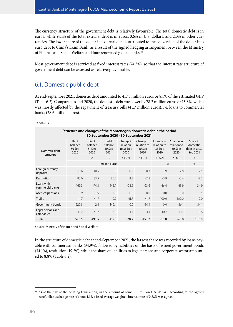The currency structure of the government debt is relatively favourable. The total domestic debt is in euros, while 97.1% of the total external debt is in euros, 0.6% in U.S. dollars, and 2.3% in other currencies. The lower share of the dollar in external debt is attributed to the conversion of the dollar into euro debt to China's Exim Bank, as a result of the signed hedging arrangement between the Ministry of Finance and Social Welfare and four renowned global banks.<sup>38</sup>

Most government debt is serviced at fixed interest rates (74.3%), so that the interest rate structure of government debt can be assessed as relatively favourable.

## 6.1. Domestic public debt

At end-September 2021, domestic debt amounted to 417.3 million euros or 8.5% of the estimated GDP (Table 6.2). Compared to end-2020, the domestic debt was lower by 78.2 million euros or 15.8%, which was mostly affected by the repayment of treasury bills (41.7 million euros), i.e. loans to commercial banks (28.6 million euros).

#### **Table 6.2**

| Structure and changes of the Montenegrin domestic debt in the period<br>30 September 2020 - 30 September 2021 |                                   |                                   |                                          |                                            |                                            |                                            |                                             |                                                   |  |
|---------------------------------------------------------------------------------------------------------------|-----------------------------------|-----------------------------------|------------------------------------------|--------------------------------------------|--------------------------------------------|--------------------------------------------|---------------------------------------------|---------------------------------------------------|--|
| Domestic debt<br>structure                                                                                    | Debt<br>balance<br>30 Sep<br>2020 | Debt<br>balance<br>31 Dec<br>2020 | <b>Debt</b><br>balance<br>30 Sep<br>2021 | Change in<br>relation<br>to 31 Dec<br>2020 | Change in<br>relation to<br>30 Sep<br>2020 | Change in<br>relation to<br>31 Dec<br>2020 | Change in<br>relation to<br>30 Sept<br>2020 | Share in<br>domestic<br>debt as at 30<br>Sep 2021 |  |
|                                                                                                               | $\mathbf{1}$                      | $\overline{2}$                    | 3                                        | $4(3-2)$                                   | $5(3-1)$                                   | 6(3/2)                                     | 7(3/1)                                      | 8                                                 |  |
|                                                                                                               |                                   | million euros                     |                                          |                                            |                                            |                                            | $\frac{0}{0}$                               |                                                   |  |
| Foreign currency<br>deposits                                                                                  | 10.6                              | 10.5                              | 10.3                                     | $-0.2$                                     | $-0.3$                                     | $-1.9$                                     | $-2.8$                                      | 2.5                                               |  |
| Restitution                                                                                                   | 83.0                              | 83.5                              | 80.2                                     | $-3.3$                                     | $-2.8$                                     | $-3.9$                                     | $-3.4$                                      | 19.2                                              |  |
| Loans with<br>commercial banks                                                                                | 169.3                             | 174.3                             | 145.7                                    | $-28.6$                                    | $-23.6$                                    | $-16.4$                                    | $-13.9$                                     | 34.9                                              |  |
| Accrued pensions                                                                                              | 1.9                               | 1.9                               | 1.9                                      | 0.0                                        | 0.0                                        | 0.0                                        | 0.0                                         | 0.5                                               |  |
| T-bills                                                                                                       | 41.7                              | 41.7                              | 0.0                                      | $-41.7$                                    | $-41.7$                                    | $-100.0$                                   | $-100.0$                                    | 0.0                                               |  |
| Government bonds                                                                                              | 222.8                             | 142.4                             | 142.4                                    | 0.0                                        | $-80.4$                                    | 0.0                                        | $-36.1$                                     | 34.1                                              |  |
| Legal persons and<br>companies                                                                                | 41.2                              | 41.2                              | 36.8                                     | $-4.4$                                     | $-4.4$                                     | $-10.7$                                    | $-10.7$                                     | 8.8                                               |  |
| <b>TOTAL</b>                                                                                                  | 570.5                             | 495.5                             | 417.3                                    | $-78.2$                                    | $-153.2$                                   | $-15.8$                                    | $-26.8$                                     | 100.0                                             |  |

Source: Ministry of Finance and Social Welfare

In the structure of domestic debt at end-September 2021, the largest share was recorded by loans payable with commercial banks (34.9%), followed by liabilities on the basis of issued government bonds (34.1%), restitution (19.2%), while the share of liabilities to legal persons and corporate sector amounted to 8.8% (Table 6.2).

<sup>&</sup>lt;sup>38</sup> As at the day of the hedging transaction, in the amount of some 818 million U.S. dollars, according to the agreed euro/dollar exchange rate of about 1.18, a fixed average weighted interest rate of 0.88% was agreed.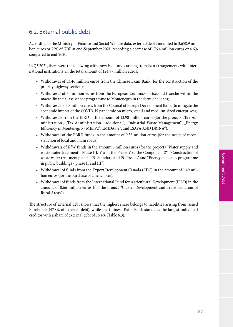## 6.2. External public debt

According to the Ministry of Finance and Social Welfare data, external debt amounted to 3,658.9 million euros or 75% of GDP at end-September 2021, recording a decrease of 176.4 million euros or 4.6% compared to end-2020.

In Q3 2021, there were the following withdrawals of funds arising from loan arrangements with international institutions, in the total amount of 124.97 million euros:

- • Withdrawal of 33.46 million euros from the Chinese Exim Bank (for the construction of the priority highway section);
- • Withdrawal of 30 million euros from the European Commission (second tranche within the macro-financial assistance programme to Montenegro in the form of a loan);
- • Withdrawal of 30 million euros from the Council of Europe Development Bank (to mitigate the economic impact of the COVID-19 pandemic on micro, small and medium-sized enterprises);
- Withdrawals from the IBRD in the amount of 13.98 million euros (for the projects "Tax Administration", "Tax Administration - additional", "Industrial Waste Management", "Energy Efficiency in Montenegro - MEEP2", "MIDAS 2", and "SAVA AND DRINA");
- • Withdrawal of the EBRD funds in the amount of 9.38 million euros (for the needs of reconstruction of local and main roads);
- Withdrawals of KfW funds in the amount 6 million euros (for the projects "Water supply and waste water treatment - Phase III, V and the Phase V of the Component 2", "Construction of waste water treatment plants - PG Standard and PG Promo" and "Energy efficiency programme in public buildings - phase II and III");
- • Withdrawal of funds from the Export Development Canada (EDC) in the amount of 1.49 million euros (for the purchase of a helicopter);
- • Withdrawal of funds from the International Fund for Agricultural Development (IFAD) in the amount of 0.66 million euros (for the project "Cluster Development and Transformation of Rural Areas").

The structure of external debt shows that the highest share belongs to liabilities arising from issued Eurobonds (47.8% of external debt), while the Chinese Exim Bank stands as the largest individual creditor with a share of external debt of 18.4% (Table 6.3).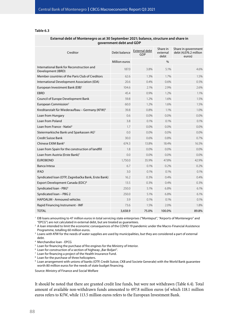#### **Table 6.3**

| government debt and GDP                                         |               |                      |                              |                                                        |  |  |  |
|-----------------------------------------------------------------|---------------|----------------------|------------------------------|--------------------------------------------------------|--|--|--|
| Creditor                                                        | Debt balance  | External debt<br>GDP | Share in<br>external<br>debt | Share in government<br>debt (4,076.2 million<br>euros) |  |  |  |
|                                                                 | Million euros |                      | %                            |                                                        |  |  |  |
| International Bank for Reconstruction and<br>Development (IBRD) | 187.0         | 3.8%                 | 5.1%                         | 4.6%                                                   |  |  |  |
| Member countries of the Paris Club of Creditors                 | 62.6          | 1.3%                 | 1.7%                         | 1.5%                                                   |  |  |  |
| International Development Association (IDA)                     | 20.6          | 0.4%                 | 0.6%                         | 0.5%                                                   |  |  |  |
| European Investment Bank (EIB) <sup>1</sup>                     | 104.6         | 2.1%                 | 2.9%                         | 2.6%                                                   |  |  |  |
| EBRD                                                            | 45.4          | 0.9%                 | 1.2%                         | 1.1%                                                   |  |  |  |
| Council of Europe Development Bank                              | 59.8          | 1.2%                 | 1.6%                         | 1.5%                                                   |  |  |  |
| European Commission <sup>2</sup>                                | 60.0          | 1.2%                 | 1.6%                         | 1.5%                                                   |  |  |  |
| Kreditanstalt für Wiederaufbau - Germany (KFW) <sup>3</sup>     | 39.8          | 0.8%                 | 1.1%                         | 1.0%                                                   |  |  |  |
| Loan from Hungary                                               | 0.6           | 0.0%                 | 0.0%                         | 0.0%                                                   |  |  |  |
| Loan from Poland                                                | 3.8           | 0.1%                 | 0.1%                         | 0.1%                                                   |  |  |  |
| Loan from France - Natixi <sup>4</sup>                          | 1.7           | 0.0%                 | $0.0\%$                      | 0.0%                                                   |  |  |  |
| Steiermarkische Bank und Sparkassen AG <sup>5</sup>             | 0.0           | 0.0%                 | 0.0%                         | 0.0%                                                   |  |  |  |
| Credit Suisse Bank                                              | 30.0          | 0.6%                 | 0.8%                         | 0.7%                                                   |  |  |  |
| Chinese EXIM Bank <sup>6</sup>                                  | 674.3         | 13.8%                | 18.4%                        | 16.5%                                                  |  |  |  |
| Loan from Spain for the construction of landfill                | 1.8           | 0.0%                 | 0.0%                         | 0.0%                                                   |  |  |  |
| Loan from Austria (Erste Bank) <sup>7</sup>                     | 0.0           | 0.0%                 | 0.0%                         | 0.0%                                                   |  |  |  |
| <b>EUROBOND</b>                                                 | 1,750.0       | 35.9%                | 47.8%                        | 42.9%                                                  |  |  |  |
| <b>Banca Intesa</b>                                             | 6.7           | 0.1%                 | 0.2%                         | 0.2%                                                   |  |  |  |
| <b>IFAD</b>                                                     | 3.0           | 0.1%                 | 0.1%                         | 0.1%                                                   |  |  |  |
| Syndicated Ioan (OTP, Zagrebačka Bank, Erste Bank)              | 16.2          | 0.3%                 | 0.4%                         | 0.4%                                                   |  |  |  |
| Export Development Canada (EDC) <sup>8</sup>                    | 13.5          | 0.3%                 | 0.4%                         | 0.3%                                                   |  |  |  |
| Syndicated Ioan - PBG <sup>9</sup>                              | 250.0         | 5.1%                 | 6.8%                         | 6.1%                                                   |  |  |  |
| Syndicated Ioan - PBG 2                                         | 250.0         | 5.1%                 | 6.8%                         | 6.1%                                                   |  |  |  |
| <b>HAPOALIM - Armoured vehicles</b>                             | 3.9           | 0.1%                 | 0.1%                         | 0.1%                                                   |  |  |  |
| Rapid Financing Instrument - IMF                                | 73.6          | 1.5%                 | 2.0%                         | 1.8%                                                   |  |  |  |
| <b>TOTAL</b>                                                    | 3,658.9       | 75.0%                | 100.0%                       | 89.8%                                                  |  |  |  |

#### **External debt of Montenegro as at 30 September 2021; balance, structure and share in government debt and GDP**

<sup>1</sup> EIB loans amounting to 47 million euros in total servicing state enterprises ("Monteput", "Airports of Montenegro" and "EPCG") are not calculated in external debt, but are treated as guarantees.

<sup>2</sup> A loan intended to limit the economic consequences of the COVID 19 pandemic under the Macro-Financial Assistence Programme, totalling 60 million euros.

 $3$  Loans with KfW for the needs of water supplies are used by municipalities, but they are considered a part of external debt.

<sup>4</sup> Merchandise loan - EPCG

 $5$  Loan for financing the purchase of fire engines for the Ministry of Interior.

<sup>6</sup> Loan for construction of a section of highway "Bar-Boljari".

<sup>7</sup> Loan for financing a project of the Health Insurance Fund.

<sup>8</sup> Loan for the purchase of three helicopters.

<sup>9</sup> Loan arrangement with unions of banks (OTP, Credit Suisse, CKB and Societe Generale) with the World Bank guarantee worth 80 million euros for the needs of state budget financing.

Source: Ministry of Finance and Social Welfare

It should be noted that there are granted credit line funds, but were not withdrawn (Table 6.4). Total amount of available non-withdrawn funds amounted to 497.8 million euros (of which 118.1 million euros refers to KfW, while 113.5 million euros refers to the European Investment Bank.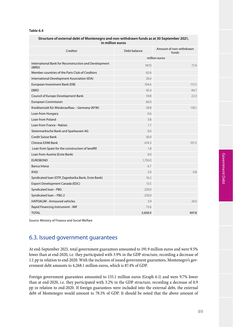#### **Table 6.4**

#### **Structure of external debt of Montenegro and non-withdrawn funds as at 30 September 2021, in million euros**

| Creditor                                                        | Debt balance  | Amount of non-withdrawn<br>funds |  |
|-----------------------------------------------------------------|---------------|----------------------------------|--|
|                                                                 | million euros |                                  |  |
| International Bank for Reconstruction and Development<br>(IBRD) | 187.0         | 72.9                             |  |
| Member countries of the Paris Club of Creditors                 | 62.6          |                                  |  |
| International Development Association (IDA)                     | 20.6          |                                  |  |
| European Investment Bank (EIB)                                  | 104.6         | 113.5                            |  |
| <b>EBRD</b>                                                     | 45.4          | 44.7                             |  |
| Council of Europe Development Bank                              | 59.8          | 22.3                             |  |
| <b>European Commission</b>                                      | 60.0          |                                  |  |
| Kreditanstalt für Wiederaufbau - Germany (KFW)                  | 39.8          | 118.1                            |  |
| Loan from Hungary                                               | 0.6           |                                  |  |
| Loan from Poland                                                | 3.8           |                                  |  |
| Loan from France - Natixis                                      | 1.7           |                                  |  |
| Steiermarkische Bank und Sparkassen AG                          | 0.0           |                                  |  |
| Credit Suisse Bank                                              | 30.0          |                                  |  |
| <b>Chinese EXIM Bank</b>                                        | 674.3         | 101.5                            |  |
| Loan from Spain for the construction of landfill                | 1.8           |                                  |  |
| Loan from Austria (Erste Bank)                                  | 0.0           |                                  |  |
| <b>EUROBOND</b>                                                 | 1,750.0       |                                  |  |
| Banca Intesa                                                    | 6.7           |                                  |  |
| <b>IFAD</b>                                                     | 3.0           | 0.8                              |  |
| Syndicated Ioan (OTP, Zagrebačka Bank, Erste Bank)              | 16.2          |                                  |  |
| Export Development Canada (EDC)                                 | 13.5          |                                  |  |
| Syndicated Ioan - PBG                                           | 250.0         |                                  |  |
| Syndicated Ioan - PBG 2                                         | 250.0         |                                  |  |
| <b>HAPOALIM - Armoured vehicles</b>                             | 3.9           | 24.0                             |  |
| Rapid Financing Instrument - IMF                                | 73.6          |                                  |  |
| <b>TOTAL</b>                                                    | 3,658.9       | 497.8                            |  |
|                                                                 |               |                                  |  |

Source: Ministry of Finance and Social Welfare

## 6.3. Issued government guarantees

At end-September 2021, total government guarantees amounted to 191.9 million euros and were 9.5% lower than at end-2020, i.e. they participated with 3.9% in the GDP structure, recording a decrease of 1.1 pp in relation to end-2020. With the inclusion of issued government guarantees, Montenegro's government debt amounts to 4,268.1 million euros, which is 87.4% of GDP.

Foreign government guarantees amounted to 155.1 million euros (Graph 6.1) and were 9.7% lower than at end-2020, i.e. they participated with 3.2% in the GDP structure, recording a decrease of 0.9 pp in relation to end-2020. If foreign guarantees were included into the external debt, the external debt of Montenegro would amount to 78.1% of GDP. It should be noted that the above amount of